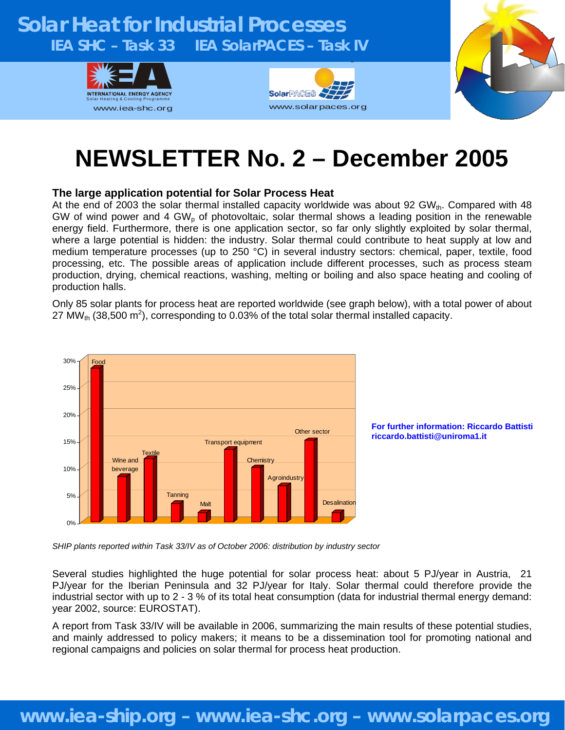### **Solar Heat for Industrial Processes IEA SHC – Task 33 IEA SolarPACES – Task IV**  g







# **NEWSLETTER No. 2 – December 2005**

#### **The large application potential for Solar Process Heat**

At the end of 2003 the solar thermal installed capacity worldwide was about 92 GW<sub>th</sub>. Compared with 48 GW of wind power and 4 GW<sub>p</sub> of photovoltaic, solar thermal shows a leading position in the renewable energy field. Furthermore, there is one application sector, so far only slightly exploited by solar thermal, where a large potential is hidden: the industry. Solar thermal could contribute to heat supply at low and medium temperature processes (up to 250 °C) in several industry sectors: chemical, paper, textile, food processing, etc. The possible areas of application include different processes, such as process steam production, drying, chemical reactions, washing, melting or boiling and also space heating and cooling of production halls.

Only 85 solar plants for process heat are reported worldwide (see graph below), with a total power of about 27 MW<sub>th</sub> (38,500 m<sup>2</sup>), corresponding to 0.03% of the total solar thermal installed capacity.





*SHIP plants reported within Task 33/IV as of October 2006: distribution by industry sector*

Several studies highlighted the huge potential for solar process heat: about 5 PJ/year in Austria, 21 PJ/year for the Iberian Peninsula and 32 PJ/year for Italy. Solar thermal could therefore provide the industrial sector with up to 2 - 3 % of its total heat consumption (data for industrial thermal energy demand: year 2002, source: EUROSTAT).

A report from Task 33/IV will be available in 2006, summarizing the main results of these potential studies, and mainly addressed to policy makers; it means to be a dissemination tool for promoting national and regional campaigns and policies on solar thermal for process heat production.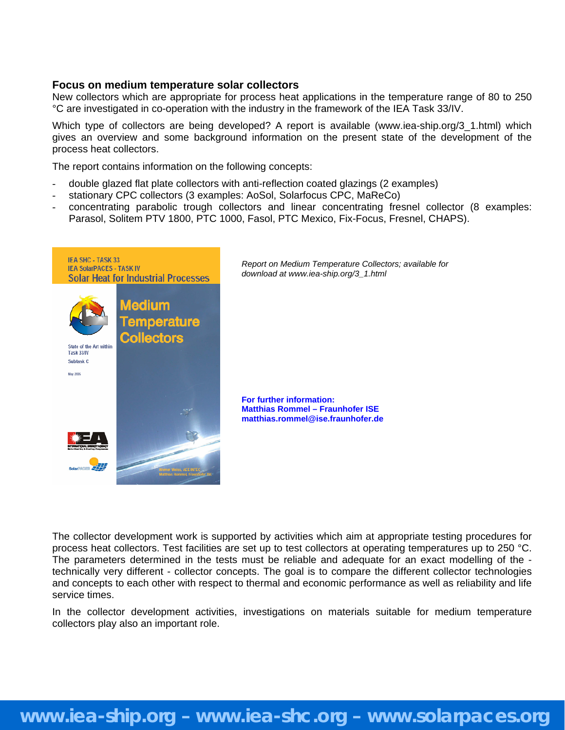#### **Focus on medium temperature solar collectors**

New collectors which are appropriate for process heat applications in the temperature range of 80 to 250 °C are investigated in co-operation with the industry in the framework of the IEA Task 33/IV.

Which type of collectors are being developed? A report is available (www.iea-ship.org/3\_1.html) which gives an overview and some background information on the present state of the development of the process heat collectors.

The report contains information on the following concepts:

- double glazed flat plate collectors with anti-reflection coated glazings (2 examples)
- stationary CPC collectors (3 examples: AoSol, Solarfocus CPC, MaReCo)
- concentrating parabolic trough collectors and linear concentrating fresnel collector (8 examples: Parasol, Solitem PTV 1800, PTC 1000, Fasol, PTC Mexico, Fix-Focus, Fresnel, CHAPS).



*Report on Medium Temperature Collectors; available for download at www.iea-ship.org/3\_1.html* 

**For further information: Matthias Rommel – Fraunhofer ISE matthias.rommel@ise.fraunhofer.de**

The collector development work is supported by activities which aim at appropriate testing procedures for process heat collectors. Test facilities are set up to test collectors at operating temperatures up to 250 °C. The parameters determined in the tests must be reliable and adequate for an exact modelling of the technically very different - collector concepts. The goal is to compare the different collector technologies and concepts to each other with respect to thermal and economic performance as well as reliability and life service times.

In the collector development activities, investigations on materials suitable for medium temperature collectors play also an important role.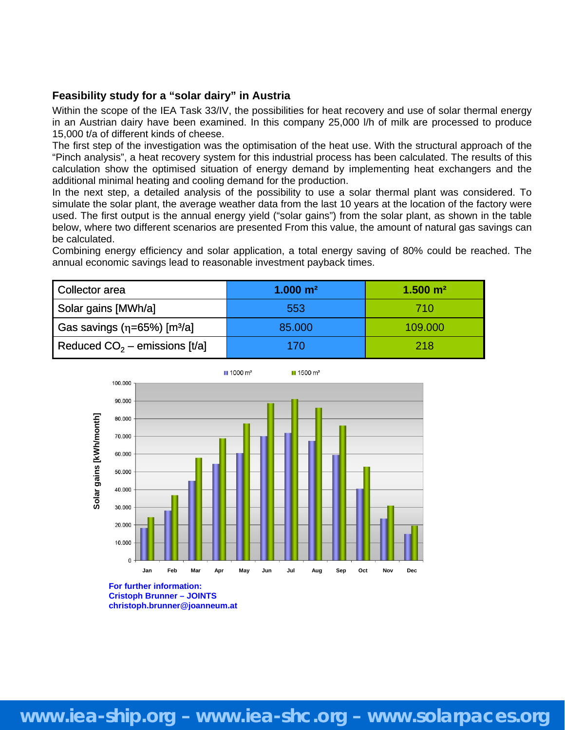#### **Feasibility study for a "solar dairy" in Austria**

Within the scope of the IEA Task 33/IV, the possibilities for heat recovery and use of solar thermal energy in an Austrian dairy have been examined. In this company 25,000 l/h of milk are processed to produce 15,000 t/a of different kinds of cheese.

The first step of the investigation was the optimisation of the heat use. With the structural approach of the "Pinch analysis", a heat recovery system for this industrial process has been calculated. The results of this calculation show the optimised situation of energy demand by implementing heat exchangers and the additional minimal heating and cooling demand for the production.

In the next step, a detailed analysis of the possibility to use a solar thermal plant was considered. To simulate the solar plant, the average weather data from the last 10 years at the location of the factory were used. The first output is the annual energy yield ("solar gains") from the solar plant, as shown in the table below, where two different scenarios are presented From this value, the amount of natural gas savings can be calculated.

Combining energy efficiency and solar application, a total energy saving of 80% could be reached. The annual economic savings lead to reasonable investment payback times.

| Collector area                                 | $1.000 \; \mathrm{m}^2$ | $1.500 \; \mathrm{m}^2$ |
|------------------------------------------------|-------------------------|-------------------------|
| Solar gains [MWh/a]                            | 553                     | 710                     |
| Gas savings ( $\eta$ =65%) [m <sup>3</sup> /a] | 85.000                  | 109.000                 |
| Reduced $CO2$ – emissions [t/a]                | 170                     | 218                     |